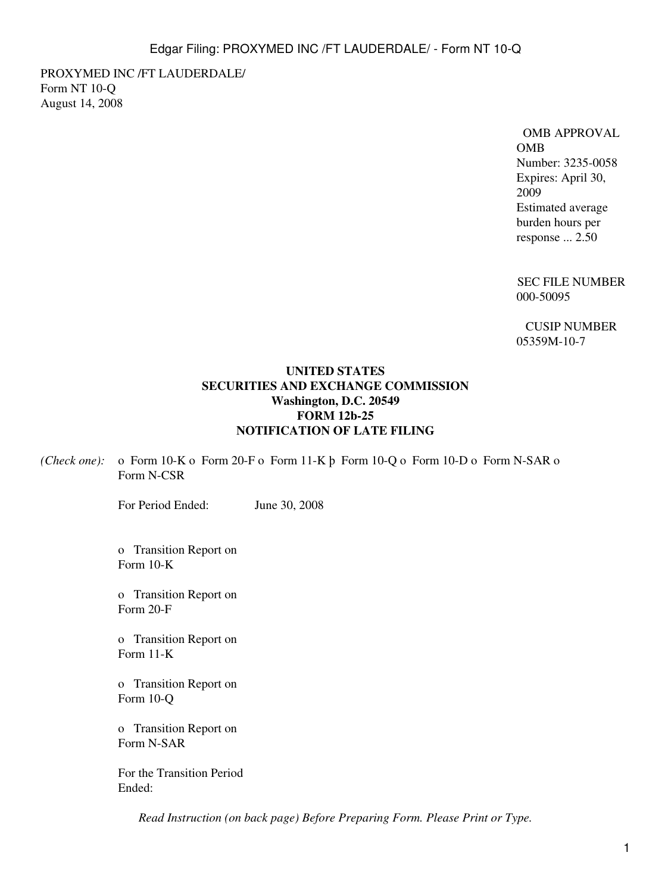PROXYMED INC /FT LAUDERDALE/ Form NT 10-Q August 14, 2008

### OMB APPROVAL OMB

Number: 3235-0058 Expires: April 30, 2009 Estimated average burden hours per response ... 2.50

SEC FILE NUMBER 000-50095

CUSIP NUMBER 05359M-10-7

### **UNITED STATES SECURITIES AND EXCHANGE COMMISSION Washington, D.C. 20549 FORM 12b-25 NOTIFICATION OF LATE FILING**

*(Check one):* o Form 10-K o Form 20-F o Form 11-K þ Form 10-Q o Form 10-D o Form N-SAR o Form N-CSR

For Period Ended: June 30, 2008

o Transition Report on Form 10-K

o Transition Report on Form 20-F

o Transition Report on Form 11-K

o Transition Report on Form 10-Q

o Transition Report on Form N-SAR

For the Transition Period Ended:

*Read Instruction (on back page) Before Preparing Form. Please Print or Type.*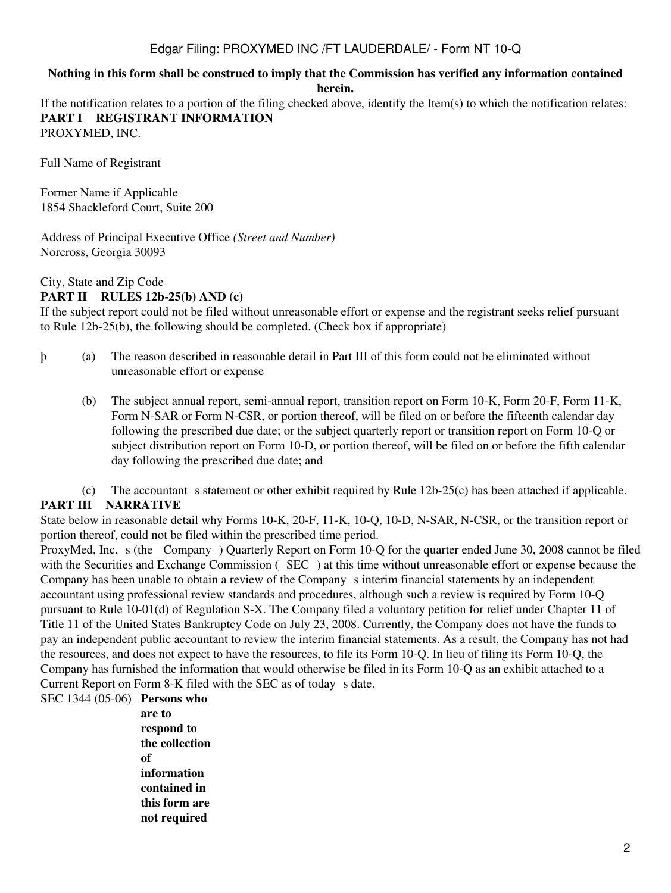## Edgar Filing: PROXYMED INC /FT LAUDERDALE/ - Form NT 10-Q

#### **Nothing in this form shall be construed to imply that the Commission has verified any information contained herein.**

If the notification relates to a portion of the filing checked above, identify the Item(s) to which the notification relates: **PART I REGISTRANT INFORMATION**

PROXYMED, INC.

Full Name of Registrant

Former Name if Applicable 1854 Shackleford Court, Suite 200

Address of Principal Executive Office *(Street and Number)* Norcross, Georgia 30093

#### City, State and Zip Code

#### **PART II RULES 12b-25(b) AND (c)**

If the subject report could not be filed without unreasonable effort or expense and the registrant seeks relief pursuant to Rule 12b-25(b), the following should be completed. (Check box if appropriate)

- þ (a) The reason described in reasonable detail in Part III of this form could not be eliminated without unreasonable effort or expense
	- (b) The subject annual report, semi-annual report, transition report on Form 10-K, Form 20-F, Form 11-K, Form N-SAR or Form N-CSR, or portion thereof, will be filed on or before the fifteenth calendar day following the prescribed due date; or the subject quarterly report or transition report on Form 10-Q or subject distribution report on Form 10-D, or portion thereof, will be filed on or before the fifth calendar day following the prescribed due date; and

(c) The accountant s statement or other exhibit required by Rule  $12b-25(c)$  has been attached if applicable. **PART III NARRATIVE**

State below in reasonable detail why Forms 10-K, 20-F, 11-K, 10-Q, 10-D, N-SAR, N-CSR, or the transition report or portion thereof, could not be filed within the prescribed time period.

ProxyMed, Inc. s (the Company) Quarterly Report on Form 10-Q for the quarter ended June 30, 2008 cannot be filed with the Securities and Exchange Commission (SEC) at this time without unreasonable effort or expense because the Company has been unable to obtain a review of the Company s interim financial statements by an independent accountant using professional review standards and procedures, although such a review is required by Form 10-Q pursuant to Rule 10-01(d) of Regulation S-X. The Company filed a voluntary petition for relief under Chapter 11 of Title 11 of the United States Bankruptcy Code on July 23, 2008. Currently, the Company does not have the funds to pay an independent public accountant to review the interim financial statements. As a result, the Company has not had the resources, and does not expect to have the resources, to file its Form 10-Q. In lieu of filing its Form 10-Q, the Company has furnished the information that would otherwise be filed in its Form 10-Q as an exhibit attached to a Current Report on Form 8-K filed with the SEC as of today s date.

SEC 1344 (05-06) **Persons who**

**are to respond to the collection of information contained in this form are not required**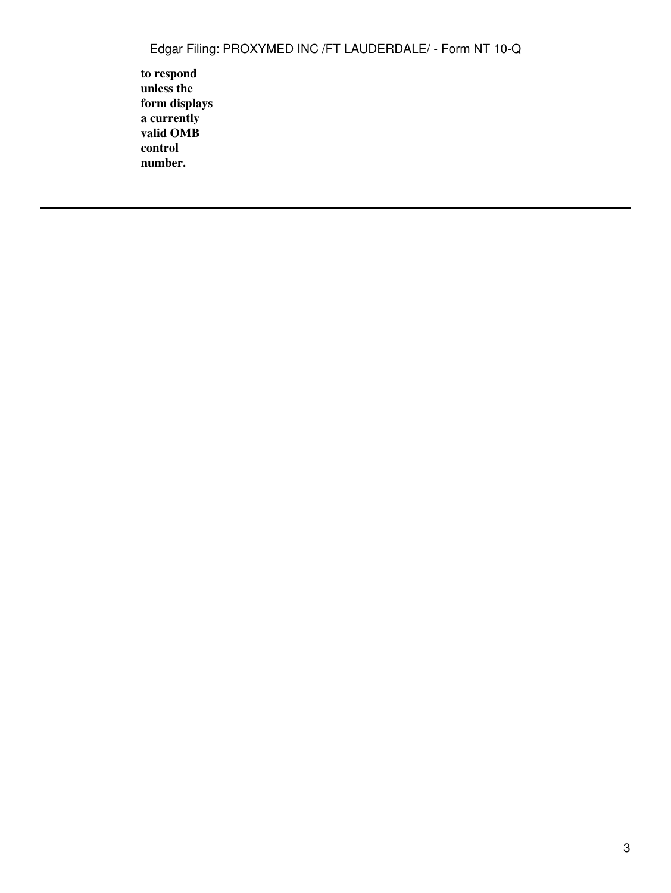**to respond unless the form displays a currently valid OMB control number.**